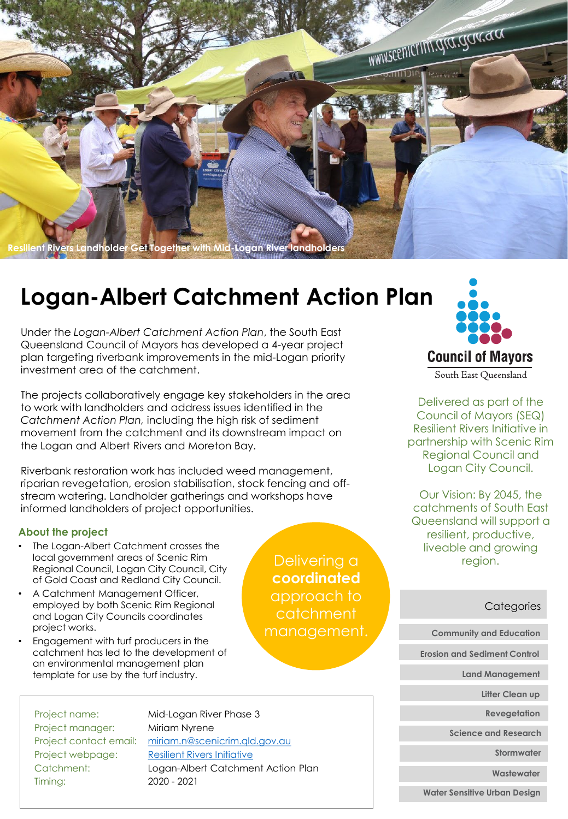

# **Logan-Albert Catchment Action Plan**

Under the *Logan-Albert Catchment Action Plan*, the South East Queensland Council of Mayors has developed a 4-year project plan targeting riverbank improvements in the mid-Logan priority investment area of the catchment.

The projects collaboratively engage key stakeholders in the area to work with landholders and address issues identified in the *Catchment Action Plan,* including the high risk of sediment movement from the catchment and its downstream impact on the Logan and Albert Rivers and Moreton Bay.

Riverbank restoration work has included weed management, riparian revegetation, erosion stabilisation, stock fencing and offstream watering. Landholder gatherings and workshops have informed landholders of project opportunities.

#### **About the project**

- The Logan-Albert Catchment crosses the local government areas of Scenic Rim Regional Council, Logan City Council, City of Gold Coast and Redland City Council.
- A Catchment Management Officer, employed by both Scenic Rim Regional and Logan City Councils coordinates project works.
- Engagement with turf producers in the catchment has led to the development of an environmental management plan template for use by the turf industry.

Delivering a **coordinated** approach to catchment management.



Delivered as part of the Council of Mayors (SEQ) Resilient Rivers Initiative in partnership with Scenic Rim Regional Council and Logan City Council.

Our Vision: By 2045, the catchments of South East Queensland will support a resilient, productive, liveable and growing region.

#### **Categories**

**Community and Education**

**Erosion and Sediment Control**

**Land Management**

**Litter Clean up**

**Revegetation**

**Science and Research**

**Stormwater**

**Wastewater**

**Water Sensitive Urban Design**

Project name: Mid-Logan River Phase 3 Project manager: Miriam Nyrene Project contact email: [miriam.n@scenicrim.qld.gov.au](mailto:miriam.n@scenicrim.qld.gov.au) Project webpage: [Resilient Rivers Initiative](https://www.scenicrim.qld.gov.au/our-environment/biodiversity/resilient-rivers-initiative) Catchment: Logan-Albert Catchment Action Plan Timing: 2020 - 2021